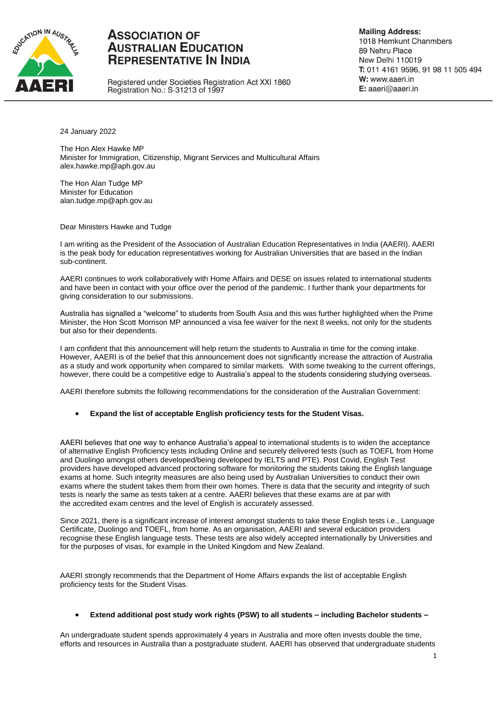

# **ASSOCIATION OF AUSTRALIAN EDUCATION REPRESENTATIVE IN INDIA**

Registered under Societies Registration Act XXI 1860 Registration No.: S-31213 of 1997

**Mailing Address:** 1018 Hemkunt Chanmbers 89 Nehru Place New Delhi 110019 T: 011 4161 9596, 91 98 11 505 494 W: www.aaeri.in E: aaeri@aaeri.in

24 January 2022

The Hon Alex Hawke MP Minister for Immigration, Citizenship, Migrant Services and Multicultural Affairs alex.hawke.mp@aph.gov.au

The Hon Alan Tudge MP Minister for Education alan.tudge.mp@aph.gov.au

Dear Ministers Hawke and Tudge

I am writing as the President of the Association of Australian Education Representatives in India (AAERI). AAERI is the peak body for education representatives working for Australian Universities that are based in the Indian sub-continent.

AAERI continues to work collaboratively with Home Affairs and DESE on issues related to international students and have been in contact with your office over the period of the pandemic. I further thank your departments for giving consideration to our submissions.

Australia has signalled a "welcome" to students from South Asia and this was further highlighted when the Prime Minister, the Hon Scott Morrison MP announced a visa fee waiver for the next 8 weeks, not only for the students but also for their dependents.

I am confident that this announcement will help return the students to Australia in time for the coming intake. However, AAERI is of the belief that this announcement does not significantly increase the attraction of Australia as a study and work opportunity when compared to similar markets. With some tweaking to the current offerings, however, there could be a competitive edge to Australia's appeal to the students considering studying overseas.

AAERI therefore submits the following recommendations for the consideration of the Australian Government:

**Expand the list of acceptable English proficiency tests for the Student Visas.**

AAERI believes that one way to enhance Australia's appeal to international students is to widen the acceptance of alternative English Proficiency tests including Online and securely delivered tests (such as TOEFL from Home and Duolingo amongst others developed/being developed by IELTS and PTE). Post Covid, English Test providers have developed advanced proctoring software for monitoring the students taking the English language exams at home. Such integrity measures are also being used by Australian Universities to conduct their own exams where the student takes them from their own homes. There is data that the security and integrity of such tests is nearly the same as tests taken at a centre. AAERI believes that these exams are at par with the accredited exam centres and the level of English is accurately assessed.

Since 2021, there is a significant increase of interest amongst students to take these English tests i.e., Language Certificate, Duolingo and TOEFL, from home. As an organisation, AAERI and several education providers recognise these English language tests. These tests are also widely accepted internationally by Universities and for the purposes of visas, for example in the United Kingdom and New Zealand.

AAERI strongly recommends that the Department of Home Affairs expands the list of acceptable English proficiency tests for the Student Visas.

### **Extend additional post study work rights (PSW) to all students – including Bachelor students –**

An undergraduate student spends approximately 4 years in Australia and more often invests double the time, efforts and resources in Australia than a postgraduate student. AAERI has observed that undergraduate students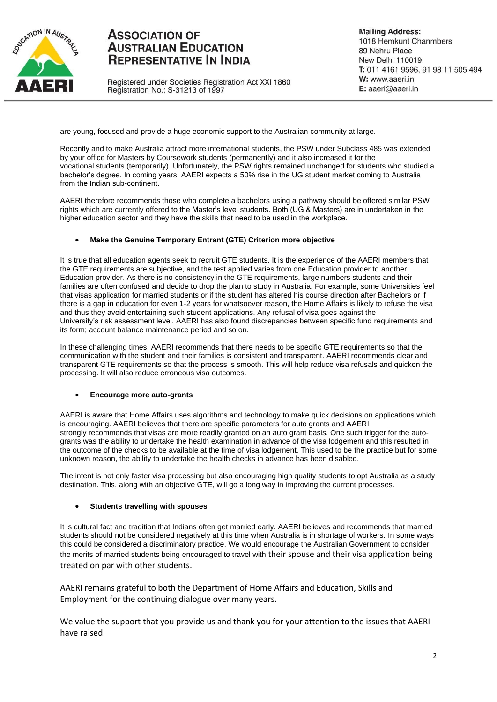

# **ASSOCIATION OF AUSTRALIAN EDUCATION REPRESENTATIVE IN INDIA**

Registered under Societies Registration Act XXI 1860 Registration No.: S-31213 of 1997

**Mailing Address:** 1018 Hemkunt Chanmbers 89 Nehru Place New Delhi 110019 T: 011 4161 9596, 91 98 11 505 494 W: www.aaeri.in E: aaeri@aaeri.in

are young, focused and provide a huge economic support to the Australian community at large.

Recently and to make Australia attract more international students, the PSW under Subclass 485 was extended by your office for Masters by Coursework students (permanently) and it also increased it for the vocational students (temporarily). Unfortunately, the PSW rights remained unchanged for students who studied a bachelor's degree. In coming years, AAERI expects a 50% rise in the UG student market coming to Australia from the Indian sub-continent.

AAERI therefore recommends those who complete a bachelors using a pathway should be offered similar PSW rights which are currently offered to the Master's level students. Both (UG & Masters) are in undertaken in the higher education sector and they have the skills that need to be used in the workplace.

### **Make the Genuine Temporary Entrant (GTE) Criterion more objective**

It is true that all education agents seek to recruit GTE students. It is the experience of the AAERI members that the GTE requirements are subjective, and the test applied varies from one Education provider to another Education provider. As there is no consistency in the GTE requirements, large numbers students and their families are often confused and decide to drop the plan to study in Australia. For example, some Universities feel that visas application for married students or if the student has altered his course direction after Bachelors or if there is a gap in education for even 1-2 years for whatsoever reason, the Home Affairs is likely to refuse the visa and thus they avoid entertaining such student applications. Any refusal of visa goes against the University's risk assessment level. AAERI has also found discrepancies between specific fund requirements and its form; account balance maintenance period and so on.

In these challenging times, AAERI recommends that there needs to be specific GTE requirements so that the communication with the student and their families is consistent and transparent. AAERI recommends clear and transparent GTE requirements so that the process is smooth. This will help reduce visa refusals and quicken the processing. It will also reduce erroneous visa outcomes.

#### **Encourage more auto-grants**

AAERI is aware that Home Affairs uses algorithms and technology to make quick decisions on applications which is encouraging. AAERI believes that there are specific parameters for auto grants and AAERI strongly recommends that visas are more readily granted on an auto grant basis. One such trigger for the autogrants was the ability to undertake the health examination in advance of the visa lodgement and this resulted in the outcome of the checks to be available at the time of visa lodgement. This used to be the practice but for some unknown reason, the ability to undertake the health checks in advance has been disabled.

The intent is not only faster visa processing but also encouraging high quality students to opt Australia as a study destination. This, along with an objective GTE, will go a long way in improving the current processes.

### **Students travelling with spouses**

It is cultural fact and tradition that Indians often get married early. AAERI believes and recommends that married students should not be considered negatively at this time when Australia is in shortage of workers. In some ways this could be considered a discriminatory practice. We would encourage the Australian Government to consider the merits of married students being encouraged to travel with their spouse and their visa application being treated on par with other students.

AAERI remains grateful to both the Department of Home Affairs and Education, Skills and Employment for the continuing dialogue over many years.

We value the support that you provide us and thank you for your attention to the issues that AAERI have raised.